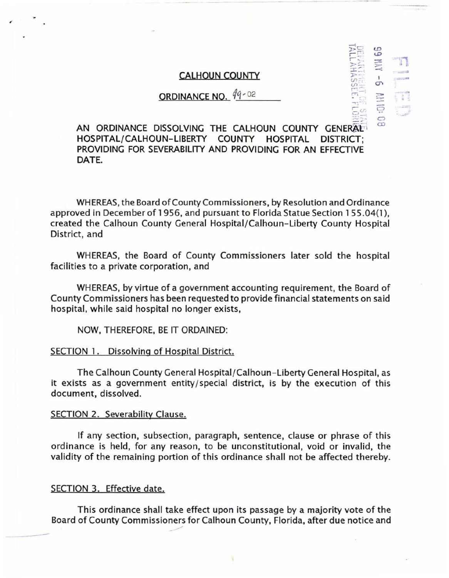## CALHOUN COUNTY

# **ORDINANCE NO.**  $99 - 02$

 $E_{24}^{20}$  $\Xi$  :

*(.1:>*   $\boldsymbol{\varphi}$ ~ ;:::.-  $\simeq$ I *(j\*  :- ç *C>*   $\widetilde{\infty}$ 

 $"$   $"$ ..:::-:> ...

> ..... .

-

AN ORDINANCE DISSOLVING THE CALHOUN COUNTY GENERAL HOSPITAL/CALHOUN-LIBERTY COUNTY HOSPITAL DISTRICT; PROVIDING FOR SEVERABILITY AND PROVIDING FOR AN EFFECTIVE DATE.

WHEREAS, the Board of County Commissioners, by Resolution and Ordinance approved in December of 1956, and pursuant to Florida Statue Section 1 55 .04(1 ), created the Calhoun County General Hospital/Calhoun- Liberty County Hospital District, and

WHEREAS, the Board of County Commissioners later sold the hospital facilities to a private corporation, and

WHEREAS, by virtue of a government accounting requirement, the Board of County Commissioners has been requested to provide financial statements on said hospital, while said hospital no longer exists,

NOW, THEREFORE, BE IT ORDAINED:

### SECTION 1. Dissolving of Hospital District.

The Calhoun County General Hospital/ Calhoun-Liberty General Hospital, as it exists as a government entity/ special district, is by the execution of this document, dissolved.

#### SECTION 2. Severability Clause.

...

If any section, subsection, paragraph, sentence, clause or phrase of this ordinance is held, for any reason, to be unconstitutional, void or invalid, the validity of the remaining portion of this ordinance shall not be affected thereby.

## SECTION 3. Effective date.

-

This ordinance shall take effect upon its passage by a majority vote of the Board of County Commissioners for Calhoun County, Florida, after due notice and